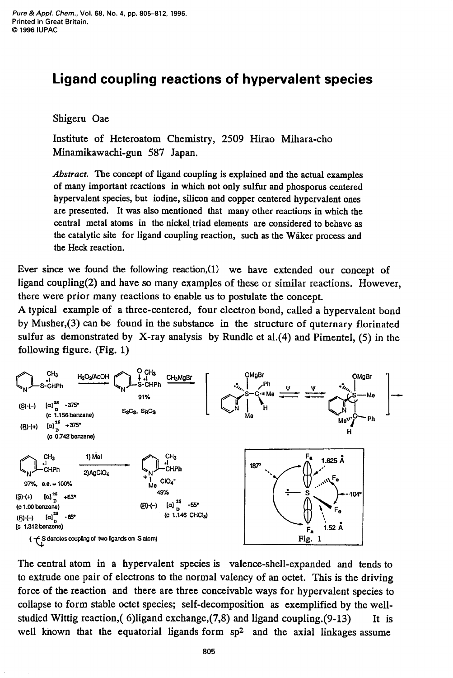## **Ligand coupling reactions of hypervalent species**

Shigeru Oae

Institute of Heteroatom Chemistry, 2509 Hirao Mihara-cho Minamikawachi-gun 587 Japan.

*Abstract.* The concept of ligand coupling **is** explained and the actual examples of many important reactions in which not only sulfur and phosporus centered hypervalent species, but iodine, silicon and copper centered hypervalent ones are presented. It was **also** mentioned **that** many other reactions in which the central metal atoms in the nickel, triad elements are considered to behave **as**  the catalytic site for ligand coupling reaction, such **as** the Waker process and the **Heck** reaction.

Ever **since** we found **the** following reaction,(l) we have extended our concept of ligand coupling(2) and have *so* many examples of these or similar reactions. However, there were prior many reactions to enable **us** to postulate the concept.

A typical example of a three-centered, four electron bond, called a hypervalent bond by Musher,(3) can be found in the substance in the structure of quternary florinated sulfur **as** demonstrated by X-ray analysis by Rundle et a1.(4) and Pimentel, (5) in the following figure. (Fig. 1)



The central atom in a hypervalent species is valence-shell-expanded and tends to to extrude one pair of electrons to the normal valency of an octet. This is the driving force of the reaction and there are three conceivable ways for hypervalent species to collapse to form stable octet species; self-decomposition **as** exemplified by the wellstudied Wittig reaction,( 6)ligand exchange, $(7,8)$  and ligand coupling. $(9-13)$  It is well known that the equatorial ligands form sp<sup>2</sup> and the axial linkages assume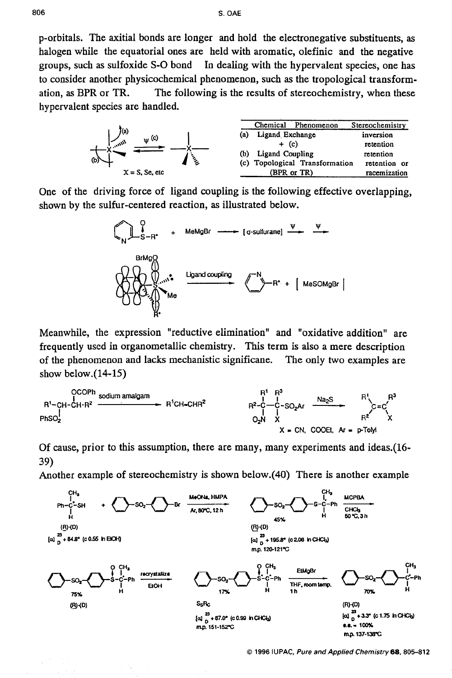p-orbitals. The axitial bonds are longer and hold the electronegative substituents, **as**  halogen while the equatorial ones are held with aromatic, olefinic and the negative groups, such **as** sulfoxide *S-0* bond In dealing with the hypervalent species, one has to consider another physicochemical phenomenon, such **as** the tropological transformation, **as** BPR or TR. The following is the results of stereochemistry, when these hypervalent species are handled.



One of the driving force of ligand coupling is the following effective overlapping, shown by the sulfur-centered reaction, **as** illustrated below.



Meanwhile, the expression "reductive elimination" and ''oxidative addition" are frequently used in organometallic chemistry. This term is also a mere description of the phenomenon and lacks mechanistic significane. The only two examples are show below.(14-15) Meanwhile, the expression "reductive elimination" and "oxidative addition"<br>
requently used in organometallic chemistry. This term is also a mere descript<br>
f the phenomenon and lacks mechanistic significane. The only two e



Of cause, prior to this assumption, there are many, many experiments and ideas.(l6- **39)** 

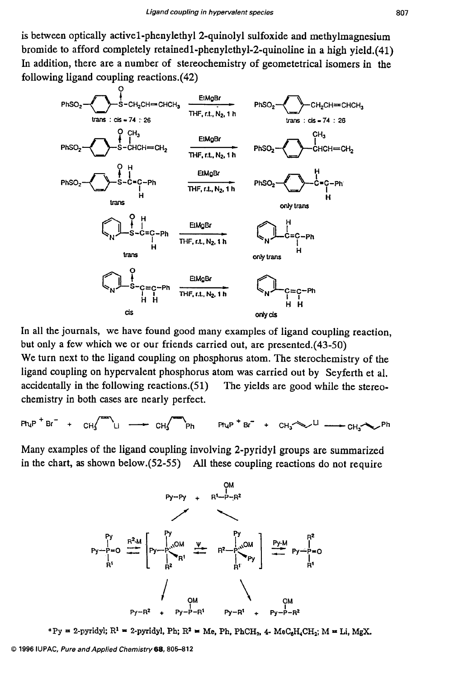is between optically **activel-phenylethyl2-quinolyl** sulfoxide and methylmagnesium bromide to afford completely **retainedl-phenylethyl-Zquinoline** in a high yield.(41) In addition, there are a number of stereochemistry of geometetrical isomers in the following ligand coupling reactions. (42)



In all the journals, we have found good many examples of ligand coupling reaction, but only a few which we or our friends carried out, are presented.(43-50) We turn next to the ligand coupling on phosphorus atom. The sterochemistry of the

ligand coupling on hypervalent phosphorus atom was carried out by Seyferth et al. accidentally in the following reactions. $(51)$  The yields are good while the stereochemistry in both cases are nearly perfect.

 $CH_3$   $CH_4$   $CH_5$   $CH_3$   $PH_1$   $PH_2$   $H_3$   $H_4$   $H_5$   $H_6$   $H_7$   $H_8$   $H_1$   $CH_3$   $H_2$   $H_3$  $Ph.P$ <sup>+</sup> $Br^-$  +

Many examples of the ligand coupling involving 2-pyridyl groups are summarized in the chart, **as** shown below.(52-55) All these coupling reactions do not require



 $P_y = 2$ -pyridyl;  $R^1 = 2$ -pyridyl, Ph;  $R^2 = Me$ , Ph, PhCH<sub>2</sub>, 4- MeC<sub>6</sub>H<sub>4</sub>CH<sub>2</sub>; M = Li, MgX.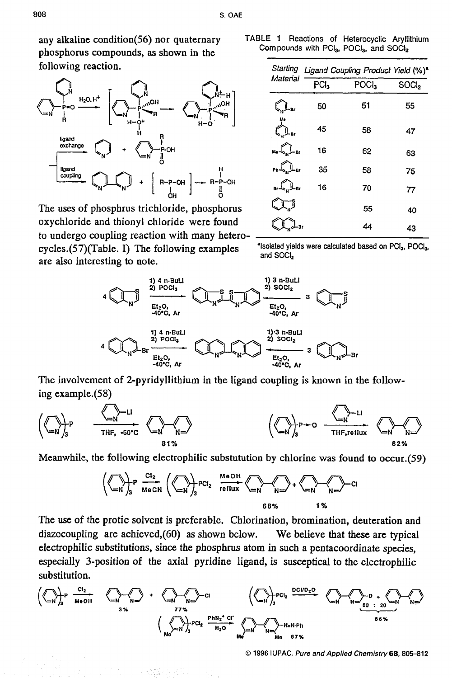any alkaline condition(56) nor quaternary phosphorus compounds, **as** shown in the following reaction.



The uses of phosphrus trichloride, phosphorus oxychloride and thionyl chloride were found to undergo coupling reaction with many heteroare also interesting to note. cycles.(57)(Table. I) The following examples  $\cdot$  <sup>\*</sup>Isolated yields were calculated based on PCI<sub>3</sub>, POCI<sub>3</sub>, but be the compling trichloride, phosphoton the definition of the sphere of the sphere of the sphere of the sphere of the sphere of the sphere of the sphere of the sphere of the sphere of the sphere of the sphere of the s

**TABLE 1** Reactions of Heterocyclic Aryllithiurn Compounds **with PC13,** P0Cl3, and **SOClz** 

|                                                                                         | Material                                                        | Starting Ligand Coupling Product Yield (%) <sup>a</sup> |                   |                   |
|-----------------------------------------------------------------------------------------|-----------------------------------------------------------------|---------------------------------------------------------|-------------------|-------------------|
|                                                                                         |                                                                 | PCl <sub>3</sub>                                        | POCI <sub>3</sub> | SOCI <sub>2</sub> |
| $HO_{lin}$<br>$HO_{\ell\ell}$                                                           |                                                                 | 50                                                      | 51                | 55                |
|                                                                                         |                                                                 | 45                                                      | 58                | 47                |
| P-OH                                                                                    |                                                                 | 16                                                      | 62                | 63                |
|                                                                                         |                                                                 | 35                                                      | 58                | 75                |
| $+$ $\left[\begin{array}{c} R-P-OH \\ \vdots \end{array}\right] \longrightarrow R-P-OH$ | $\mathsf{Br} \mathcal{L}_{\mathsf{N}} \mathbb{L}_{\mathsf{Br}}$ | 16                                                      | 70                | 77                |
| richloride, phosphorus                                                                  |                                                                 |                                                         | 55                | 40                |
| I chloride were found<br>action with many hataro                                        |                                                                 |                                                         | 44                | 43                |

and **SOCI,** 



The involvement of 2-pyridyllithium in the ligand coupling is known in the following example.(58)



Meanwhile, the following electrophilic substutution by chlorine was **found** to occur.(59)

$$
\left(\left\langle\begin{array}{c}\n\diagdown\end{array}\right\rangle_{B} P \xrightarrow{\text{Cl}_{2}} \left\langle\left\langle\begin{array}{c}\n\diagdown\end{array}\right\rangle_{B} P C I_{2} \xrightarrow{\text{MeOH}} \left\langle\begin{array}{c}\n\diagdown\end{array}\right\rangle_{B} + \left\langle\begin{array}{c}\n\diagdown\end{array}\right\rangle_{B} \xrightarrow{\text{Cl}_{2}} C I_{2} \xrightarrow{\text{MeOH}} \left\langle\begin{array}{c}\n\diagdown\end{array}\right\rangle_{B} + \left\langle\begin{array}{c}\n\diagdown\end{array}\right\rangle_{B} \xrightarrow{\text{Cl}_{2}} C I_{3} \xrightarrow{\text{MeOH}} \left\langle\begin{array}{c}\n\diagdown\end{array}\right\rangle_{B} + \left\langle\begin{array}{c}\n\diagdown\end{array}\right\rangle_{B} \xrightarrow{\text{Cl}_{2}} C I_{3} \xrightarrow{\text{MeOH}} \left\langle\begin{array}{c}\n\diagdown\end{array}\right\rangle_{B} + \left\langle\begin{array}{c}\n\diagdown\end{array}\right\rangle_{B} \xrightarrow{\text{MeOH}} \left\langle\begin{array}{c}\n\diagdown\end{array}\right\rangle_{B} + \left\langle\begin{array}{c}\n\diagdown\end{array}\right\rangle_{B} + \left\langle\begin{array}{c}\n\diagdown\end{array}\right\rangle_{B} \xrightarrow{\text{MeOH}} \left\langle\begin{array}{c}\n\diagdown\end{array}\right\rangle_{B} + \left\langle\begin{array}{c}\n\diagdown\end{array}\right\rangle_{B} + \left\langle\begin{array}{c}\n\diagdown\end{array}\right\rangle_{B} \xrightarrow{\text{MeOH}} \left\langle\begin{array}{c}\n\diagdown\end{array}\right\rangle_{B} + \left\langle\begin{array}{c}\n\diagdown\end{array}\right\rangle_{B} + \left\langle\begin{array}{c}\n\diagdown\end{array}\right\rangle_{B} \xrightarrow{\text{MeOH}} \left\langle\begin{array}{c}\n\diagdown\end{array}\right\rangle_{B} + \left\langle\begin{array}{c}\n\diagdown\end{array}\right\rangle_{B} \xrightarrow{\text{MeOH}} \left\langle\begin{array}{c}\n\diagdown\end{array}\right\rangle_{B} + \left\langle\begin{array}{c}\n\diagdown\end{array}\right\rangle_{B} +
$$

The use of the protic solvent is preferable. Chlorination, bromination, deuteration and diazocoupling are achieved,(60) **as** shown below. We believe that these are typical electrophilic substitutions, since the phosphrus atom in such a pentacoordinate species, especially 3-position of the axial pyridine ligand, is susceptical to the electrophilic substitution.

$$
\left(\left\langle\bigcap_{i\in\mathbb{N}}\right\rangle_{3} P \xrightarrow{\mathbf{C1}_{2}} \left\langle\bigcap_{i\in\mathbb{N}}\bigcap_{j\in\mathbb{N}}\bigcap_{j\in\mathbb{N}}\right\rangle_{3} \times P \xrightarrow{\mathbf{C1}} \left\langle\bigcap_{i\in\mathbb{N}}\bigcap_{j\in\mathbb{N}}\bigcap_{j\in\mathbb{N}}\bigcap_{j\in\mathbb{N}}\bigcap_{j\in\mathbb{N}}\bigcap_{j\in\mathbb{N}}\bigcap_{j\in\mathbb{N}}\bigcap_{j\in\mathbb{N}}\bigcap_{j\in\mathbb{N}}\bigcap_{j\in\mathbb{N}}\bigcap_{j\in\mathbb{N}}\bigcap_{j\in\mathbb{N}}\bigcap_{j\in\mathbb{N}}\bigcap_{j\in\mathbb{N}}\bigcap_{j\in\mathbb{N}}\bigcap_{j\in\mathbb{N}}\bigcap_{j\in\mathbb{N}}\bigcap_{j\in\mathbb{N}}\bigcap_{j\in\mathbb{N}}\bigcap_{j\in\mathbb{N}}\bigcap_{j\in\mathbb{N}}\bigcap_{j\in\mathbb{N}}\bigcap_{j\in\mathbb{N}}\bigcap_{j\in\mathbb{N}}\bigcap_{j\in\mathbb{N}}\bigcap_{j\in\mathbb{N}}\bigcap_{j\in\mathbb{N}}\bigcap_{j\in\mathbb{N}}\bigcap_{j\in\mathbb{N}}\bigcap_{j\in\mathbb{N}}\bigcap_{j\in\mathbb{N}}\bigcap_{j\in\mathbb{N}}\bigcap_{j\in\mathbb{N}}\bigcap_{j\in\mathbb{N}}\bigcap_{j\in\mathbb{N}}\bigcap_{j\in\mathbb{N}}\bigcap_{j\in\mathbb{N}}\bigcap_{j\in\mathbb{N}}\bigcap_{j\in\mathbb{N}}\bigcap_{j\in\mathbb{N}}\bigcap_{j\in\mathbb{N}}\bigcap_{j\in\mathbb{N}}\bigcap_{j\in\mathbb{N}}\bigcap_{j\in\mathbb{N}}\bigcap_{j\in\mathbb{N}}\bigcap_{j\in\mathbb{N}}\bigcap_{j\in\mathbb{N}}\bigcap_{j\in\mathbb{N}}\bigcap_{j\in\mathbb{N}}\bigcap_{j\in\mathbb{N}}\bigcap_{
$$

*0* **1996 IUPAC,** *Pure and Applied Chemistry68,805-812*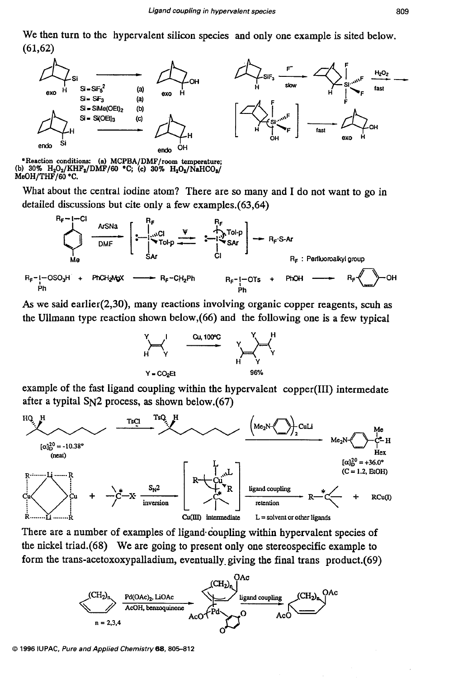We then turn to the hypervalent silicon species and only one example is sited below.  $(61, 62)$ 



<sup>6</sup> Reaction conditions: (a) MCPBA/DMF/room temperature; (b) 30%  $H_2O_2/KHF_2/DMF/60$  °C; (c) 30%  $H_2O_2/NaHCO_2/$ MeOH/THF/60 °C.

What about the central iodine atom? There are so many and I do not want to go in detailed discussions but cite only a few examples.(63,64)

$$
R_F-I-OSO_3H + PhCH2MgX \longrightarrow R_F-CH2Ph
$$
  
\n
$$
R_F-I-OSO_3H + PhCH2MgX \longrightarrow R_F-CH2Ph
$$
  
\n
$$
R_F-I-OSO_3H + PhCH2MgX \longrightarrow R_F-CH2Ph
$$
  
\n
$$
R_F-I-OSO_3H \longrightarrow R_F-CH2Ph
$$
  
\n
$$
R_F-I-OSO_3H \longrightarrow R_F-CH2Ph
$$
  
\n
$$
R_F-I-OSO_3H \longrightarrow R_F
$$
  
\n
$$
R_F
$$

*As* we said earlier(2,30), many reactions involving organic copper reagents, scuh **as**  the Ullmann type reaction shown below,(66) and the following **one** is a few typical



example of the fast ligand coupling within the hypervalent copper(II1) intermedate after a typital S<sub>N</sub>2 process, as shown below.(67)



There are a number of examples of ligand coupling within hypervalent species of the nickel triad.(68) We are going to present only one stereospecific example to form the trans-acetoxoxypalladium, eventually- giving the final trans product.(69)



*0 1996* **IUPAC,** *Pure and Applied Chemistry68.805-812*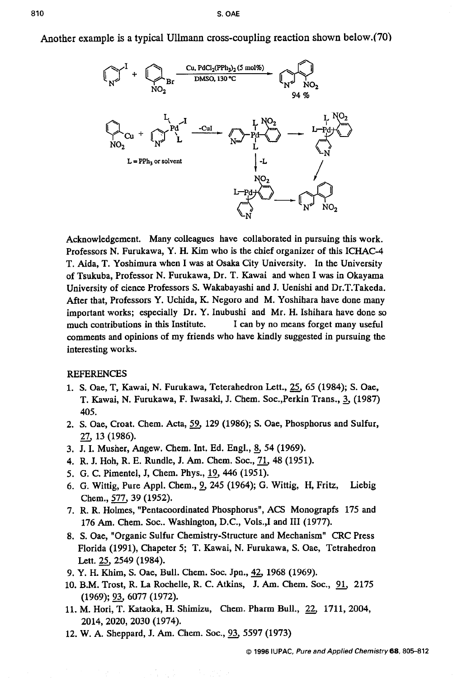Another example is a typical Ullmann cross-coupling reaction shown below.(70)



Acknowledgement. Many colleagues have collaborated in pursuing this work, Professors N. Furukawa, **Y.** H. Kim who is the chief organizer of this ICHAC-4 T. Aida, T. Yoshimura when I was at Osaka City University. In the University of Tsukuba, Professor N. Furukawa, Dr. T. Kawai and when I was in Okayama University of cience Professors S. Wakabayashi and J. Uenishi and Dr.T.Takeda. After that, Professors Y. Uchida, K. Negoro and M. Yoshihara have done many important works; especially Dr. Y. Inubushi and Mr. H. Ishihara have done *so*  much contributions in this Institute. I can by no means forget many useful comments and opinions of my friends who have kindly suggested in pursuing the interesting works.

## REFERENCES

- **1.** S. Oae, **T,** Kawai, N. Furukawa, Teterahedron Lett., *25,* **65 (1984); S.** Oae, T. Kawai, N. Furukawa, F. Iwasaki, J. Chem. Soc.,Perkin Trans., 3, (1987) **405.**
- **2. S.** Oae, Croat. Chem. Acta, *59,* **129 (1986); S.** Oae, Phosphorus and Sulfur, *27,* **13 (1986).**
- **3.** J. I. Musher, Angew. Chem. Int. Ed. Engl., *5* **54 (1969).**
- **4.** R. J. Hoh, R. E. Rundle, J. Am. Chem. SOC., *71,* **48 (1951).**
- **5. G.** C. Pimentel, J, Chem. Phys., *19,* **446 (1951).**
- **6. G.** Wittig, Pure Appl. Chem., *3* **245 (1964); G.** Wittig, **H,** Fritz, Liebig Chem., *577,* **39 (1952).**
- **7.** R. R. Holmes, "Pentacoordinated Phosphorus", **ACS** Monograpfs **175** and 176 Am. Chem. Soc.. Washington, D.C., Vols.,I and III (1977).
- **8. S.** Oae, "Organic Sulfur Chemistry-Structure and Mechanism" CRC Press Florida **(1991),** Chapeter 5; T. Kawai, N. Furukawa, S. Oae, Tetrahedron Lett. *25,* **2549 (1984).**
- **9.** Y. **H.** Khim, *S.* Oae, Bull. Chem. **SOC.** Jpn., 42, **1968 (1969).**
- **10. B.M.** Trost, **R. La** Rochelle, R. C. Atkins, J. Am. Chem. SOC., 91, **<sup>2175</sup> (1 969);** 93, **6077 (1 972).**
- **11.** M. Hori, T. Kataoka, H. Shimizu, Chem. Pharm Bull., 22, **1711, 2004, 2014,2020,2030 (1974).**
- **12.** W. A. Sheppard, J. **Am.** Chem. SOC., **93,5597 (1973)**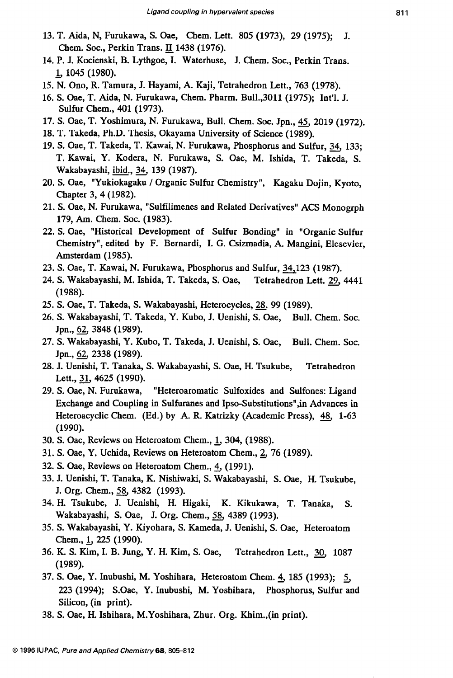- **13.** T. Aida, N, Furukawa, S. Oae, Chem. Lett. 805 **(1973), 29 (1975);** J. Chem. SOC., Perkin Trans. **1438 (1976).**
- 14. P. J. Kocienski, B. Lythgoe, I. Waterhuse, J. Chem. Soc., Perkin Trans. & **1045 (1980).**
- **15.** N. **Ono,** R. Tamura, J. Hayami, A. Kaji, Tetrahedron Lett., **763 (1978).**
- **16. S.** Oae, T. Aida, N. Furukawa, Chem. Pharm. Bu11.,3011 **(1975);** Int'l. J. Sulfur Chem., **401 (1973).**
- **17. S.** Oae, T. Yoshimura, N. Furukawa, Bull. Chem. SOC. Jpn., **45, 2019 (1972).**
- **18. T.** Takeda, Ph.D. Thesis, Okayama University of Science **(1989).**
- **19. S.** Oae, T. Takeda, T. Kawai, N. Furukawa, Phosphorus and Sulfur, 34, **133;**  T. Kawai, Y. Kodera, N. Furukawa, S. Oae, M. Ishida, T. Takeda, S. Wakabayashi, ibid., 34, 139 (1987).
- **20. S.** Oae, "Yukiokagaku / Organic Sulfur Chemistry", Kagaku Dojin, Kyoto, Chapter **3, 4 (1982).**
- **21. S.** Oae, N. Furukawa, "Sulfilimenes and Related Derivatives" ACS Monogrph **179, Am.** Chem. SOC. **(1983).**
- **22. S.** Oae, "Historical Development of Sulfur Bonding" in "Organic Sulfur Chemistry", edited by F. Bernardi, I. G. Csizmadia, A. Mangini, Elesevier, Amsterdam **(1985).**
- **23. S.** Oae, T. Kawai, N. Furukawa, Phosphorus and Sulfur, **34,123 (1987).**
- **24. S.** Wakabayashi, M. Ishida, T. Takeda, S. Oae, Tetrahedron Lett. *29,* **4441 (1988).**
- **25. S.** Oae, T. Takeda, S. Wakabayashi, Heterocycles, 28, **99 (1989).**
- **26. S.** Wakabayashi, T. Takeda, Y. Kubo, J. Uenishi, S. Oae, Bull. Chem. Soc. Jpn., 62, **3848 (1989).**
- 27. S. Wakabayashi, Y. Kubo, T. Takeda, J. Uenishi, S. Oae, Bull. Chem. Soc. Jpn., 62, **2338 (1989).**
- **28.** J. Uenishi, **T.** Tanaka, S. Wakabayashi, **S.** Oae, H. Tsukube, Tetrahedron Lett., *31,* **4625 (1990).**
- **29. S.** Oae, N. Furukawa, "Heteroaromatic Sulfoxides and Sulfones: Ligand Exchange and Coupling in Sulfuranes and Ipso-Substitutions",in Advances in Heteroacyclic Chem. (Ed.) by A. R. Katrizky (Academic Press), 48, **1-63 (1990).**
- **30. S.** Oae, Reviews on Heteroatom Chem., **I, 304, (1988).**
- **31. S.** Oae, **Y.** Uchida, Reviews on Heteroatom Chem., *5* **76 (1989).**
- **32. S.** Oae, Reviews on Heteroatom Chem., *5* **(1991).**
- **33.** J. Uenishi, T. Tanaka, K. Nishiwaki, S. Wakabayashi, S. Oae, H. Tsukube, J. Org. Chem., **58,4382 (1993).**
- **34.** H. Tsukube, **J.** Uenishi, H. Higaki, K. Kikukawa, T. Tanaka, *S.*  Wakabayashi, **S.** Oae, J. Org. Chem., *58,* **4389 (1993).**
- **35.** S. Wakabayashi, Y. Kiyohara, S. Kameda, J. Uenishi, S. Oae, Heteroatom Chem., **1,225 (1990).**
- **36.** K. **S.** Kim, I. B. Jung, Y. H. Kim, **S.** Oae, Tetrahedron Lett., **30, 1087 (1989).**
- **37. S.** Oae, Y. Inubushi, M. Yoshihara, Heteroatom Chem. 4 **185 (1993);** *5*  **223 (1994);** S.Oae, Y. Inubushi, M. Yoshihara, Phosphorus, Sulfur and Silicon, (in print).
- **38. S.** Oae, **H.** Ishihara, M.Yoshihara, Zhur. Org. Khim.,(in print).